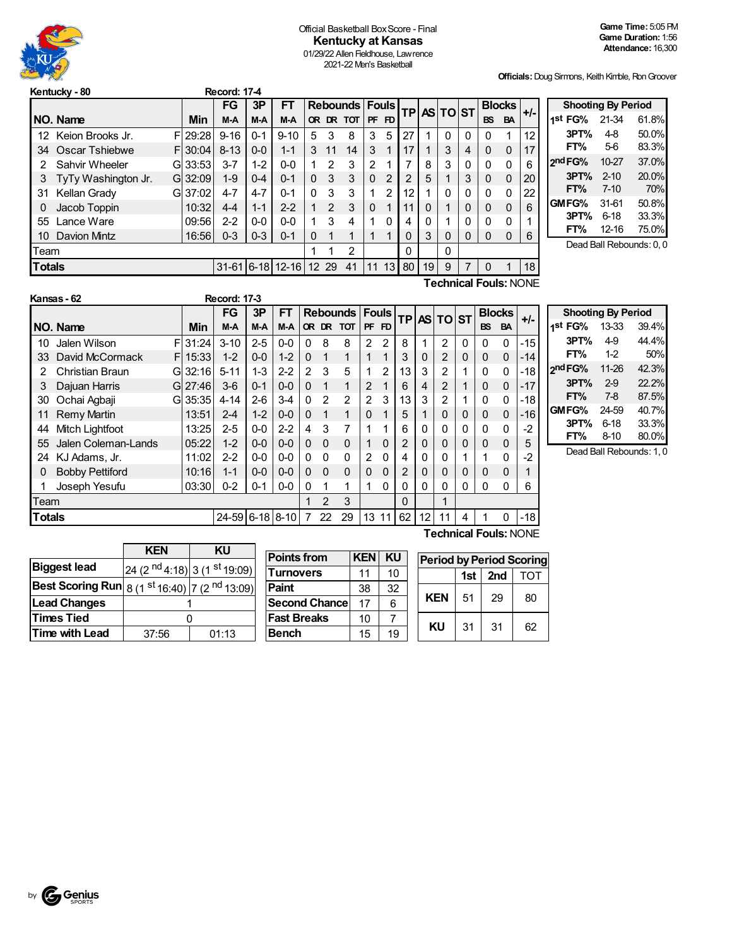

#### Official Basketball BoxScore - Final **Kentucky at Kansas** 01/29/22 Allen Fieldhouse, Lawrence 2021-22 Men's Basketball

**Officials:**Doug Sirmons, Keith Kimble, RonGroover

|               | Kentucky - 80                |  |            | <b>Record: 17-4</b> |         |                    |          |       |           |                |                |                |    |                   |          |           |               |       |
|---------------|------------------------------|--|------------|---------------------|---------|--------------------|----------|-------|-----------|----------------|----------------|----------------|----|-------------------|----------|-----------|---------------|-------|
|               |                              |  |            | FG                  | 3P      | <b>FT</b>          |          |       | Rebounds  |                | <b>Fouls</b>   |                |    | <b>TPAS TO ST</b> |          |           | <b>Blocks</b> | $+/-$ |
|               | NO. Name                     |  | Min        | M-A                 | M-A     | M-A                |          |       | OR DR TOT |                | PF FD          |                |    |                   |          | <b>BS</b> | <b>BA</b>     |       |
| 12.           | Keion Brooks Jr.             |  | F129:28    | $9 - 16$            | $0 - 1$ | $9 - 10$           | 5        | 3     | 8         | 3              | 5              | 27             |    | $\Omega$          | 0        | 0         |               | 12    |
| 34            | Oscar Tshiebwe               |  | F130:04    | $8 - 13$            | $0 - 0$ | $1 - 1$            | 3        | 11    | 14        | 3              |                | 17             |    | 3                 | 4        | $\Omega$  | $\Omega$      | 17    |
| 2             | Sahvir Wheeler               |  | GI 33:53   | $3 - 7$             | $1 - 2$ | $0 - 0$            |          | 2     | 3         | $\overline{2}$ |                | 7              | 8  | 3                 | 0        | 0         | 0             | 6     |
| 3             | TyTy Washington Jr.          |  | $GI$ 32:09 | $1 - 9$             | $0 - 4$ | $0 - 1$            | $\Omega$ | 3     | 3         | $\mathbf{0}$   | $\overline{2}$ | $\mathfrak{p}$ | 5  |                   | 3        | $\Omega$  | 0             | 20    |
| 31            | Kellan Grady                 |  | $GI$ 37:02 | $4 - 7$             | $4 - 7$ | $0 - 1$            | 0        | 3     | 3         | 1              | 2              | 12             |    | 0                 | 0        | 0         | 0             | 22    |
| 0             | Jacob Toppin                 |  | 10:32      | $4 - 4$             | $1 - 1$ | $2 - 2$            | 1        | 2     | 3         | $\mathbf 0$    |                | 11             | 0  | 1                 | $\Omega$ | 0         | 0             | 6     |
| 55            | Lance Ware                   |  | 09:56      | $2 - 2$             | $0 - 0$ | $0 - 0$            | 1        | 3     | 4         | 1              | $\Omega$       | 4              | 0  | 1                 | $\Omega$ | 0         | 0             | 1     |
| 10            | Davion Mintz                 |  | 16:56      | $0 - 3$             | $0 - 3$ | $0 - 1$            | 0        | 1     | 1         | 1              |                | 0              | 3  | $\Omega$          | 0        | 0         | 0             | 6     |
| Team          |                              |  |            |                     |         |                    |          |       | 2         |                |                | 0              |    | 0                 |          |           |               |       |
| <b>Totals</b> |                              |  |            |                     |         | $31-61$ 6-18 12-16 |          | 12 29 | 41        | 11             | 13             | 80             | 19 | 9                 | 7        | 0         |               | 18    |
|               | <b>Technical Fouls: NONE</b> |  |            |                     |         |                    |          |       |           |                |                |                |    |                   |          |           |               |       |

|     | <b>Shooting By Period</b> |          |       |
|-----|---------------------------|----------|-------|
| +/- | 1 <sup>st</sup> FG%       | 21-34    | 61.8% |
| 12  | 3PT%                      | $4-8$    | 50.0% |
| 17  | FT%                       | $5-6$    | 83.3% |
| 6   | 2 <sup>nd</sup> FG%       | 10-27    | 37.0% |
| 20  | 3PT%                      | $2 - 10$ | 20.0% |
| 22  | FT%                       | $7 - 10$ | 70%   |
| 6   | GMFG%                     | 31-61    | 50.8% |
| 1   | 3PT%                      | $6 - 18$ | 33.3% |
| 6   | FT%                       | 12-16    | 75.0% |

Dead Ball Rebounds: 0, 0

|               | Kansas - 62            |    |            | <b>Record: 17-3</b> |         |           |               |               |                           |                |          |                |    |                 |   |           |               |       |
|---------------|------------------------|----|------------|---------------------|---------|-----------|---------------|---------------|---------------------------|----------------|----------|----------------|----|-----------------|---|-----------|---------------|-------|
|               |                        |    |            | <b>FG</b>           | 3P      | <b>FT</b> |               |               | <b>Rebounds   Fouls  </b> |                |          | <b>TP</b>      |    | <b>AS TO ST</b> |   |           | <b>Blocks</b> | $+/-$ |
|               | NO. Name               |    | <b>Min</b> | $M-A$               | $M-A$   | M-A       |               |               | OR DR TOT                 | PF             | FD       |                |    |                 |   | <b>BS</b> | <b>BA</b>     |       |
| 10            | Jalen Wilson           | F  | 31:24      | $3 - 10$            | $2 - 5$ | $0 - 0$   | 0             | 8             | 8                         | $\overline{2}$ | 2        | 8              | 1  | 2               | 0 | 0         | $\Omega$      | $-15$ |
| 33            | David McCormack        | FI | 15:33      | $1 - 2$             | $0 - 0$ | $1 - 2$   | $\Omega$      | 1             | 1                         |                | 1        | 3              | 0  | $\overline{2}$  | 0 | 0         | $\mathbf{0}$  | $-14$ |
| 2             | Christian Braun        |    | $GI$ 32:16 | $5 - 11$            | $1 - 3$ | $2 - 2$   | $\mathcal{P}$ | 3             | 5                         |                | 2        | 13             | 3  | 2               |   | 0         | 0             | $-18$ |
| 3             | Dajuan Harris          |    | GI 27:46   | $3-6$               | $0 - 1$ | $0 - 0$   | $\Omega$      | 1             | 1                         | $\mathcal{P}$  | 1        | 6              | 4  | 2               |   | 0         | $\mathbf{0}$  | $-17$ |
| 30            | Ochai Agbaji           |    | $GI$ 35:35 | $4 - 14$            | $2 - 6$ | $3-4$     | 0             | $\mathcal{P}$ | $\mathfrak{p}$            | $\mathcal{P}$  | 3        | 13             | 3  | 2               |   | 0         | $\mathbf{0}$  | $-18$ |
| 11            | <b>Remy Martin</b>     |    | 13:51      | $2 - 4$             | $1 - 2$ | $0 - 0$   | 0             | 1             | 1                         | 0              | 1        | 5              |    | 0               | 0 | 0         | $\mathbf{0}$  | $-16$ |
| 44            | Mitch Lightfoot        |    | 13:25      | $2 - 5$             | $0 - 0$ | $2 - 2$   | 4             | 3             | 7                         |                |          | 6              | 0  | 0               | 0 | 0         | $\mathbf{0}$  | $-2$  |
| 55            | Jalen Coleman-Lands    |    | 05:22      | $1 - 2$             | $0 - 0$ | $0 - 0$   | $\Omega$      | $\Omega$      | $\Omega$                  |                | $\Omega$ | 2              | 0  | 0               | 0 | 0         | $\mathbf 0$   | 5     |
| 24            | KJ Adams, Jr.          |    | 11:02      | $2 - 2$             | $0 - 0$ | $0 - 0$   | 0             | $\Omega$      | $\Omega$                  | 2              | $\Omega$ | 4              | 0  | 0               |   |           | $\mathbf{0}$  | -2    |
| 0             | <b>Bobby Pettiford</b> |    | 10:16      | $1 - 1$             | $0 - 0$ | $0 - 0$   | $\Omega$      | $\Omega$      | $\Omega$                  | $\Omega$       | $\Omega$ | $\overline{2}$ | 0  | 0               | 0 | $\Omega$  | $\mathbf 0$   |       |
|               | Joseph Yesufu          |    | 03:30      | $0 - 2$             | $0 - 1$ | $0-0$     | 0             | 1             | 1                         |                | $\Omega$ | 0              | 0  | 0               | 0 | 0         | $\Omega$      | 6     |
| Team          |                        |    |            |                     |         |           |               | 2             | 3                         |                |          | $\Omega$       |    | 1               |   |           |               |       |
| <b>Totals</b> |                        |    |            | 24-59 6-18 8-10     |         |           |               | 22            | 29                        | 13             | 11       | 62             | 12 | 11              | 4 |           |               | $-18$ |

| Γ.                       |                          | <b>Shooting By Period</b> |       |  |  |  |  |  |  |  |  |  |
|--------------------------|--------------------------|---------------------------|-------|--|--|--|--|--|--|--|--|--|
|                          | 1st FG% 13-33            |                           | 39.4% |  |  |  |  |  |  |  |  |  |
| 5                        | 3PT%                     | 49                        | 44.4% |  |  |  |  |  |  |  |  |  |
| 4                        | FT%                      | $1-2$                     | 50%   |  |  |  |  |  |  |  |  |  |
| 8                        | 2 <sup>nd</sup> FG%      | 11-26                     | 42.3% |  |  |  |  |  |  |  |  |  |
| 7                        | 3PT%                     | $2-9$                     | 22.2% |  |  |  |  |  |  |  |  |  |
| 8                        | FT%                      | 7-8                       | 87.5% |  |  |  |  |  |  |  |  |  |
| 6                        | GMFG% 24-59              |                           | 40.7% |  |  |  |  |  |  |  |  |  |
| $\overline{\phantom{a}}$ | 3PT%                     | $6 - 18$                  | 33.3% |  |  |  |  |  |  |  |  |  |
|                          | FT%                      | $8 - 10$                  | 80.0% |  |  |  |  |  |  |  |  |  |
|                          | Dead Ball Rebounds: 1, 0 |                           |       |  |  |  |  |  |  |  |  |  |

|                                                           | <b>KEN</b> | ΚU                                                  |  |  |  |
|-----------------------------------------------------------|------------|-----------------------------------------------------|--|--|--|
| <b>Biggest lead</b>                                       |            | 24 (2 <sup>nd</sup> 4:18) 3 (1 <sup>st</sup> 19:09) |  |  |  |
| <b>Best Scoring Run</b> $ 8(1^{st}16:40) 7(2^{nd}13:09) $ |            |                                                     |  |  |  |
| <b>Lead Changes</b>                                       |            |                                                     |  |  |  |
| <b>Times Tied</b>                                         |            |                                                     |  |  |  |
| <b>Time with Lead</b>                                     | 37:56      | 01:13                                               |  |  |  |

| <b>Points from</b>    | <b>KEN</b> | KU | Period     |
|-----------------------|------------|----|------------|
| <b>Turnovers</b>      | 11         | 10 |            |
| Paint                 | 38         | 32 |            |
| <b>Second Chancel</b> | 17         | 6  | <b>KEN</b> |
| <b>Fast Breaks</b>    | 10         |    |            |
| <b>Bench</b>          | 15         | 19 | ΚU         |

**Technical Fouls: NONE** 

| ΚU | <b>Period by Period Scoring</b> |     |     |     |  |  |  |  |  |
|----|---------------------------------|-----|-----|-----|--|--|--|--|--|
| 10 |                                 | 1st | 2nd | TOT |  |  |  |  |  |
| 32 |                                 |     |     |     |  |  |  |  |  |
| 6  | <b>KEN</b>                      | 51  | 29  | 80  |  |  |  |  |  |
|    | ΚU                              |     | 31  |     |  |  |  |  |  |
| 19 |                                 | 31  |     | 62  |  |  |  |  |  |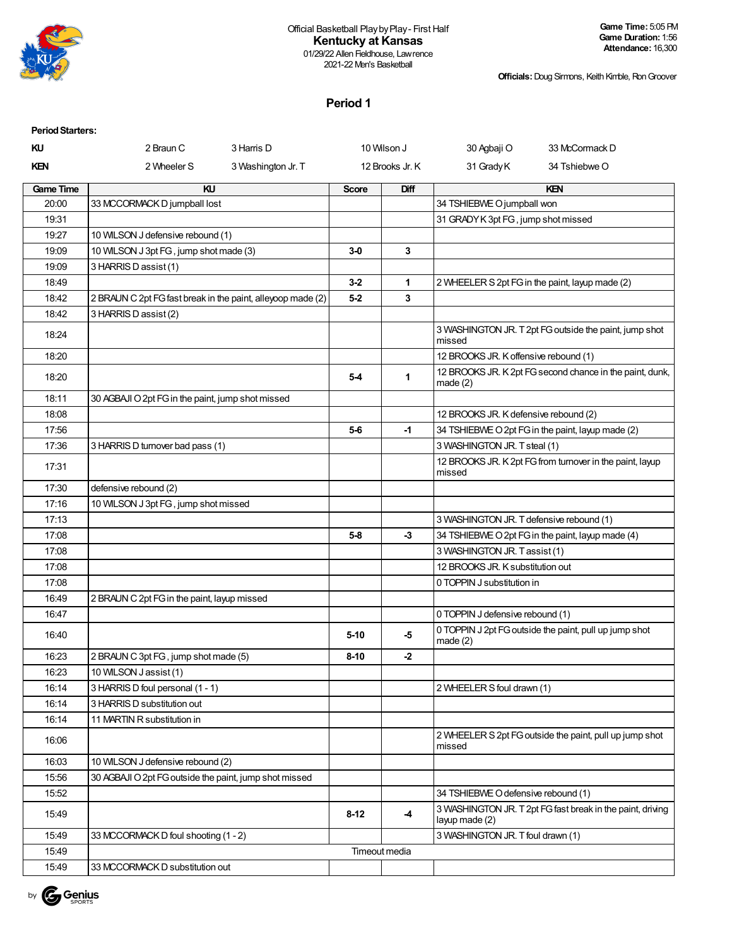

#### Official Basketball Playby Play- First Half **Kentucky at Kansas** 01/29/22 Allen Fieldhouse, Lawrence

2021-22 Men's Basketball

**Officials:**Doug Sirmons, Keith Kimble, RonGroover

### **Period 1**

| <b>Period Starters:</b> |                                                             |                    |              |                 |                                          |                                                            |
|-------------------------|-------------------------------------------------------------|--------------------|--------------|-----------------|------------------------------------------|------------------------------------------------------------|
| ΚU                      | 2 Braun C                                                   | 3 Harris D         |              | 10 Wilson J     | 30 Agbaji O                              | 33 McCormack D                                             |
| KEN                     | 2 Wheeler S                                                 | 3 Washington Jr. T |              | 12 Brooks Jr. K | 31 Grady K                               | 34 Tshiebwe O                                              |
| <b>Game Time</b>        | KU                                                          |                    | <b>Score</b> | Diff            |                                          | KEN                                                        |
| 20:00                   | 33 MCCORMACK D jumpball lost                                |                    |              |                 | 34 TSHIEBWE O jumpball won               |                                                            |
| 19:31                   |                                                             |                    |              |                 | 31 GRADY K 3pt FG, jump shot missed      |                                                            |
| 19:27                   | 10 WILSON J defensive rebound (1)                           |                    |              |                 |                                          |                                                            |
| 19:09                   | 10 WILSON J 3pt FG, jump shot made (3)                      |                    | $3-0$        | 3               |                                          |                                                            |
| 19:09                   | 3 HARRIS D assist (1)                                       |                    |              |                 |                                          |                                                            |
| 18:49                   |                                                             |                    | $3-2$        | 1               |                                          | 2 WHEELER S 2pt FG in the paint, layup made (2)            |
| 18:42                   | 2 BRAUN C 2pt FG fast break in the paint, alleyoop made (2) |                    | $5-2$        | 3               |                                          |                                                            |
| 18:42                   | 3 HARRIS D assist (2)                                       |                    |              |                 |                                          |                                                            |
| 18:24                   |                                                             |                    |              |                 | missed                                   | 3 WASHINGTON JR. T 2pt FG outside the paint, jump shot     |
| 18:20                   |                                                             |                    |              |                 | 12 BROOKS JR. K offensive rebound (1)    |                                                            |
| 18:20                   |                                                             |                    | 5-4          | $\mathbf{1}$    | made $(2)$                               | 12 BROOKS JR. K 2pt FG second chance in the paint, dunk,   |
| 18:11                   | 30 AGBAJI O 2pt FG in the paint, jump shot missed           |                    |              |                 |                                          |                                                            |
| 18:08                   |                                                             |                    |              |                 | 12 BROOKS JR. K defensive rebound (2)    |                                                            |
| 17:56                   |                                                             |                    | $5-6$        | $-1$            |                                          | 34 TSHIEBWE O 2pt FG in the paint, layup made (2)          |
| 17:36                   | 3 HARRIS D turnover bad pass (1)                            |                    |              |                 | 3 WASHINGTON JR. T steal (1)             |                                                            |
| 17:31                   |                                                             |                    |              |                 | missed                                   | 12 BROOKS JR. K 2pt FG from turnover in the paint, layup   |
| 17:30                   | defensive rebound (2)                                       |                    |              |                 |                                          |                                                            |
| 17:16                   | 10 WILSON J 3pt FG, jump shot missed                        |                    |              |                 |                                          |                                                            |
| 17:13                   |                                                             |                    |              |                 | 3 WASHINGTON JR. T defensive rebound (1) |                                                            |
| 17:08                   |                                                             |                    | $5-8$        | -3              |                                          | 34 TSHIEBWE O 2pt FG in the paint, layup made (4)          |
| 17:08                   |                                                             |                    |              |                 | 3 WASHINGTON JR. Tassist (1)             |                                                            |
| 17:08                   |                                                             |                    |              |                 | 12 BROOKS JR. K substitution out         |                                                            |
| 17:08                   |                                                             |                    |              |                 | 0 TOPPIN J substitution in               |                                                            |
| 16:49                   | 2 BRAUN C 2pt FG in the paint, layup missed                 |                    |              |                 |                                          |                                                            |
| 16:47                   |                                                             |                    |              |                 | 0 TOPPIN J defensive rebound (1)         |                                                            |
| 16:40                   |                                                             |                    | $5 - 10$     | $-5$            | made $(2)$                               | 0 TOPPIN J 2pt FG outside the paint, pull up jump shot     |
| 16:23                   | 2 BRAUN C 3pt FG, jump shot made (5)                        |                    | $8 - 10$     | $-2$            |                                          |                                                            |
| 16:23                   | 10 WILSON J assist (1)                                      |                    |              |                 |                                          |                                                            |
| 16:14                   | 3 HARRIS D foul personal (1 - 1)                            |                    |              |                 | 2 WHEELER S foul drawn (1)               |                                                            |
| 16:14                   | 3 HARRIS D substitution out                                 |                    |              |                 |                                          |                                                            |
| 16:14                   | 11 MARTIN R substitution in                                 |                    |              |                 |                                          |                                                            |
| 16:06                   |                                                             |                    |              |                 | missed                                   | 2 WHEELER S 2pt FG outside the paint, pull up jump shot    |
| 16:03                   | 10 WILSON J defensive rebound (2)                           |                    |              |                 |                                          |                                                            |
| 15:56                   | 30 AGBAJI O 2pt FG outside the paint, jump shot missed      |                    |              |                 |                                          |                                                            |
| 15:52                   |                                                             |                    |              |                 | 34 TSHIEBWE O defensive rebound (1)      |                                                            |
| 15:49                   |                                                             |                    | $8 - 12$     | -4              | layup made (2)                           | 3 WASHINGTON JR. T 2pt FG fast break in the paint, driving |
| 15:49                   | 33 MCCORMACK D foul shooting (1 - 2)                        |                    |              |                 | 3 WASHINGTON JR. T foul drawn (1)        |                                                            |
| 15:49                   |                                                             |                    |              | Timeout media   |                                          |                                                            |
| 15:49                   | 33 MCCORMACK D substitution out                             |                    |              |                 |                                          |                                                            |

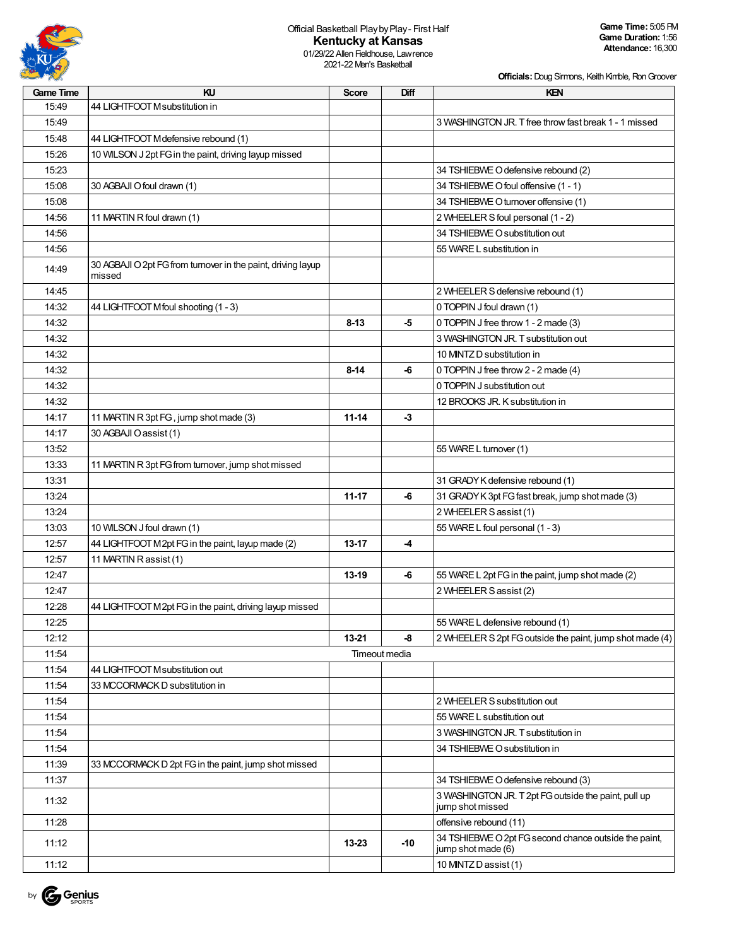

01/29/22 Allen Fieldhouse, Lawrence 2021-22 Men's Basketball

| <b>Game Time</b> | KU                                                                     | <b>Score</b>  | Diff | KEN                                                                         |
|------------------|------------------------------------------------------------------------|---------------|------|-----------------------------------------------------------------------------|
| 15:49            | 44 LIGHTFOOT Msubstitution in                                          |               |      |                                                                             |
| 15:49            |                                                                        |               |      | 3 WASHINGTON JR. T free throw fast break 1 - 1 missed                       |
| 15:48            | 44 LIGHTFOOT Mdefensive rebound (1)                                    |               |      |                                                                             |
| 15:26            | 10 WILSON J 2pt FG in the paint, driving layup missed                  |               |      |                                                                             |
| 15:23            |                                                                        |               |      | 34 TSHIEBWE O defensive rebound (2)                                         |
| 15:08            | 30 AGBAJI O foul drawn (1)                                             |               |      | 34 TSHIEBWE O foul offensive (1 - 1)                                        |
| 15:08            |                                                                        |               |      | 34 TSHIEBWE O turnover offensive (1)                                        |
| 14:56            | 11 MARTIN R foul drawn (1)                                             |               |      | 2 WHEELER S foul personal (1 - 2)                                           |
| 14:56            |                                                                        |               |      | 34 TSHIEBWE O substitution out                                              |
| 14:56            |                                                                        |               |      | 55 WARE L substitution in                                                   |
| 14:49            | 30 AGBAJI O 2pt FG from turnover in the paint, driving layup<br>missed |               |      |                                                                             |
| 14:45            |                                                                        |               |      | 2 WHEELER S defensive rebound (1)                                           |
| 14:32            | 44 LIGHTFOOT Mfoul shooting (1 - 3)                                    |               |      | 0 TOPPIN J foul drawn (1)                                                   |
| 14:32            |                                                                        | $8 - 13$      | -5   | 0 TOPPIN J free throw 1 - 2 made (3)                                        |
| 14:32            |                                                                        |               |      | 3 WASHINGTON JR. T substitution out                                         |
| 14:32            |                                                                        |               |      | 10 MNTZ D substitution in                                                   |
| 14:32            |                                                                        | $8 - 14$      | -6   |                                                                             |
|                  |                                                                        |               |      | 0 TOPPIN J free throw 2 - 2 made (4)                                        |
| 14:32            |                                                                        |               |      | 0 TOPPIN J substitution out                                                 |
| 14:32            |                                                                        |               |      | 12 BROOKS JR. K substitution in                                             |
| 14:17            | 11 MARTIN R 3pt FG, jump shot made (3)                                 | $11 - 14$     | $-3$ |                                                                             |
| 14:17            | 30 AGBAJI O assist (1)                                                 |               |      |                                                                             |
| 13:52            |                                                                        |               |      | 55 WARE L turnover (1)                                                      |
| 13:33            | 11 MARTIN R 3pt FG from turnover, jump shot missed                     |               |      |                                                                             |
| 13:31            |                                                                        |               |      | 31 GRADY K defensive rebound (1)                                            |
| 13:24            |                                                                        | $11 - 17$     | -6   | 31 GRADY K 3pt FG fast break, jump shot made (3)                            |
| 13:24            |                                                                        |               |      | 2 WHEELER S assist (1)                                                      |
| 13:03            | 10 WILSON J foul drawn (1)                                             |               |      | 55 WARE L foul personal (1 - 3)                                             |
| 12:57            | 44 LIGHTFOOT M2pt FG in the paint, layup made (2)                      | $13 - 17$     | -4   |                                                                             |
| 12:57            | 11 MARTIN R assist (1)                                                 |               |      |                                                                             |
| 12:47            |                                                                        | 13-19         | -6   | 55 WARE L 2pt FG in the paint, jump shot made (2)                           |
| 12:47            |                                                                        |               |      | 2 WHEELER S assist (2)                                                      |
| 12:28            | 44 LIGHTFOOT M2pt FG in the paint, driving layup missed                |               |      |                                                                             |
| 12:25            |                                                                        |               |      | 55 WARE L defensive rebound (1)                                             |
| 12:12            |                                                                        | 13-21         | -8   | 2 WHEELER S 2pt FG outside the paint, jump shot made (4)                    |
| 11:54            |                                                                        | Timeout media |      |                                                                             |
| 11:54            | 44 LIGHTFOOT Msubstitution out                                         |               |      |                                                                             |
| 11:54            | 33 MCCORMACK D substitution in                                         |               |      |                                                                             |
| 11:54            |                                                                        |               |      | 2 WHEELER S substitution out                                                |
| 11:54            |                                                                        |               |      | 55 WARE L substitution out                                                  |
| 11:54            |                                                                        |               |      | 3 WASHINGTON JR. T substitution in                                          |
| 11:54            |                                                                        |               |      | 34 TSHIEBWE O substitution in                                               |
| 11:39            | 33 MCCORMACK D 2pt FG in the paint, jump shot missed                   |               |      |                                                                             |
| 11:37            |                                                                        |               |      | 34 TSHIEBWE O defensive rebound (3)                                         |
| 11:32            |                                                                        |               |      | 3 WASHINGTON JR. T 2pt FG outside the paint, pull up<br>jump shot missed    |
| 11:28            |                                                                        |               |      | offensive rebound (11)                                                      |
| 11:12            |                                                                        | $13 - 23$     | -10  | 34 TSHIEBWE O 2pt FG second chance outside the paint,<br>jump shot made (6) |
| 11:12            |                                                                        |               |      | 10 MNTZ D assist (1)                                                        |

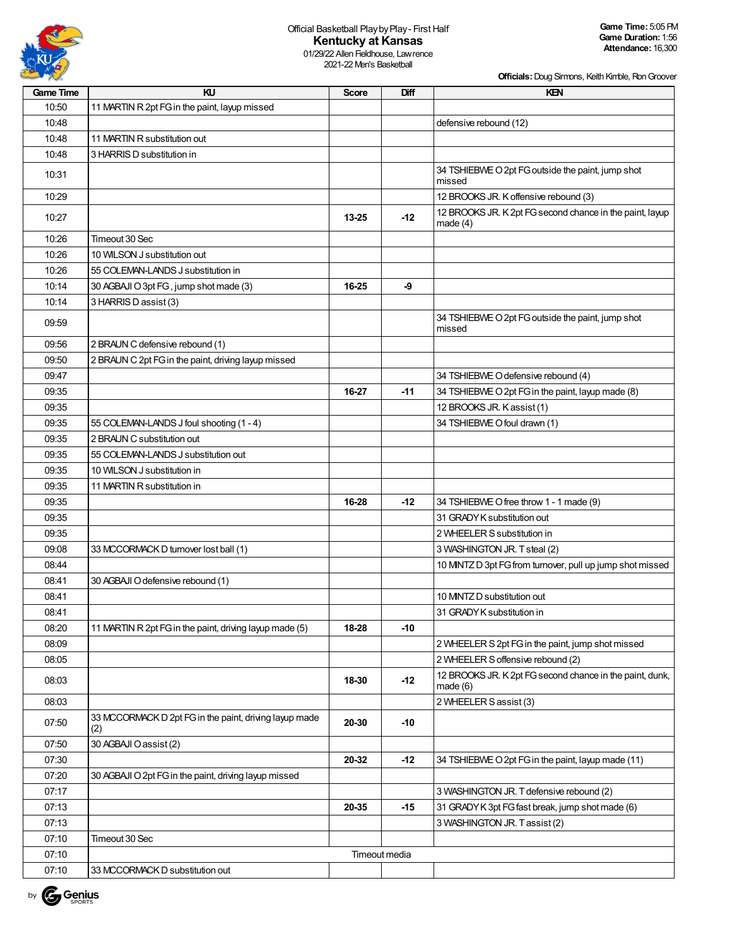

01/29/22 Allen Fieldhouse, Lawrence 2021-22 Men's Basketball

| <b>Game Time</b> | KU                                                            | <b>Score</b>  | Diff  | <b>KEN</b>                                                             |
|------------------|---------------------------------------------------------------|---------------|-------|------------------------------------------------------------------------|
| 10:50            | 11 MARTIN R 2pt FG in the paint, layup missed                 |               |       |                                                                        |
| 10:48            |                                                               |               |       | defensive rebound (12)                                                 |
| 10:48            | 11 MARTIN R substitution out                                  |               |       |                                                                        |
| 10:48            | 3 HARRIS D substitution in                                    |               |       |                                                                        |
| 10:31            |                                                               |               |       | 34 TSHIEBWE O 2pt FG outside the paint, jump shot<br>missed            |
| 10:29            |                                                               |               |       | 12 BROOKS JR. K offensive rebound (3)                                  |
| 10:27            |                                                               | 13-25         | $-12$ | 12 BROOKS JR. K 2pt FG second chance in the paint, layup<br>made $(4)$ |
| 10:26            | Timeout 30 Sec                                                |               |       |                                                                        |
| 10:26            | 10 WILSON J substitution out                                  |               |       |                                                                        |
| 10:26            | 55 COLEMAN-LANDS J substitution in                            |               |       |                                                                        |
| 10:14            | 30 AGBAJI O 3pt FG, jump shot made (3)                        | 16-25         | -9    |                                                                        |
| 10:14            | 3 HARRIS D assist (3)                                         |               |       |                                                                        |
| 09:59            |                                                               |               |       | 34 TSHIEBWE O 2pt FG outside the paint, jump shot<br>missed            |
| 09:56            | 2 BRAUN C defensive rebound (1)                               |               |       |                                                                        |
| 09:50            | 2 BRAUN C 2pt FG in the paint, driving layup missed           |               |       |                                                                        |
| 09:47            |                                                               |               |       | 34 TSHIEBWE O defensive rebound (4)                                    |
| 09:35            |                                                               | 16-27         | $-11$ | 34 TSHIEBWE O 2pt FG in the paint, layup made (8)                      |
| 09:35            |                                                               |               |       | 12 BROOKS JR. Kassist (1)                                              |
| 09:35            | 55 COLEMAN-LANDS J foul shooting (1 - 4)                      |               |       | 34 TSHIEBWE O foul drawn (1)                                           |
| 09:35            | 2 BRAUN C substitution out                                    |               |       |                                                                        |
| 09:35            | 55 COLEMAN-LANDS J substitution out                           |               |       |                                                                        |
| 09:35            | 10 WILSON J substitution in                                   |               |       |                                                                        |
| 09:35            | 11 MARTIN R substitution in                                   |               |       |                                                                        |
| 09:35            |                                                               | 16-28         | $-12$ | 34 TSHIEBWE O free throw 1 - 1 made (9)                                |
| 09:35            |                                                               |               |       | 31 GRADY K substitution out                                            |
| 09:35            |                                                               |               |       | 2 WHEELER S substitution in                                            |
| 09:08            | 33 MCCORMACK D turnover lost ball (1)                         |               |       | 3 WASHINGTON JR. T steal (2)                                           |
| 08:44            |                                                               |               |       | 10 MNTZ D 3pt FG from turnover, pull up jump shot missed               |
| 08:41            | 30 AGBAJI O defensive rebound (1)                             |               |       |                                                                        |
| 08:41            |                                                               |               |       | 10 MNTZ D substitution out                                             |
| 08:41            |                                                               |               |       | 31 GRADY K substitution in                                             |
| 08:20            | 11 MARTIN R 2pt FG in the paint, driving layup made (5)       | 18-28         | $-10$ |                                                                        |
| 08:09            |                                                               |               |       | 2 WHEELER S 2pt FG in the paint, jump shot missed                      |
| 08:05            |                                                               |               |       | 2 WHEELER S offensive rebound (2)                                      |
|                  |                                                               |               |       | 12 BROOKS JR. K 2pt FG second chance in the paint, dunk,               |
| 08:03            |                                                               | 18-30         | $-12$ | made(6)                                                                |
| 08:03            |                                                               |               |       | 2 WHEELER S assist (3)                                                 |
| 07:50            | 33 MCCORMACK D 2pt FG in the paint, driving layup made<br>(2) | 20-30         | $-10$ |                                                                        |
| 07:50            | 30 AGBAJI O assist (2)                                        |               |       |                                                                        |
| 07:30            |                                                               | 20-32         | $-12$ | 34 TSHIEBWE O 2pt FG in the paint, layup made (11)                     |
| 07:20            | 30 AGBAJI O 2pt FG in the paint, driving layup missed         |               |       |                                                                        |
| 07:17            |                                                               |               |       | 3 WASHINGTON JR. T defensive rebound (2)                               |
| 07:13            |                                                               | 20-35         | -15   | 31 GRADY K 3pt FG fast break, jump shot made (6)                       |
| 07:13            |                                                               |               |       | 3 WASHINGTON JR. Tassist (2)                                           |
| 07:10            | Timeout 30 Sec                                                |               |       |                                                                        |
| 07:10            |                                                               | Timeout media |       |                                                                        |
| 07:10            | 33 MCCORMACK D substitution out                               |               |       |                                                                        |

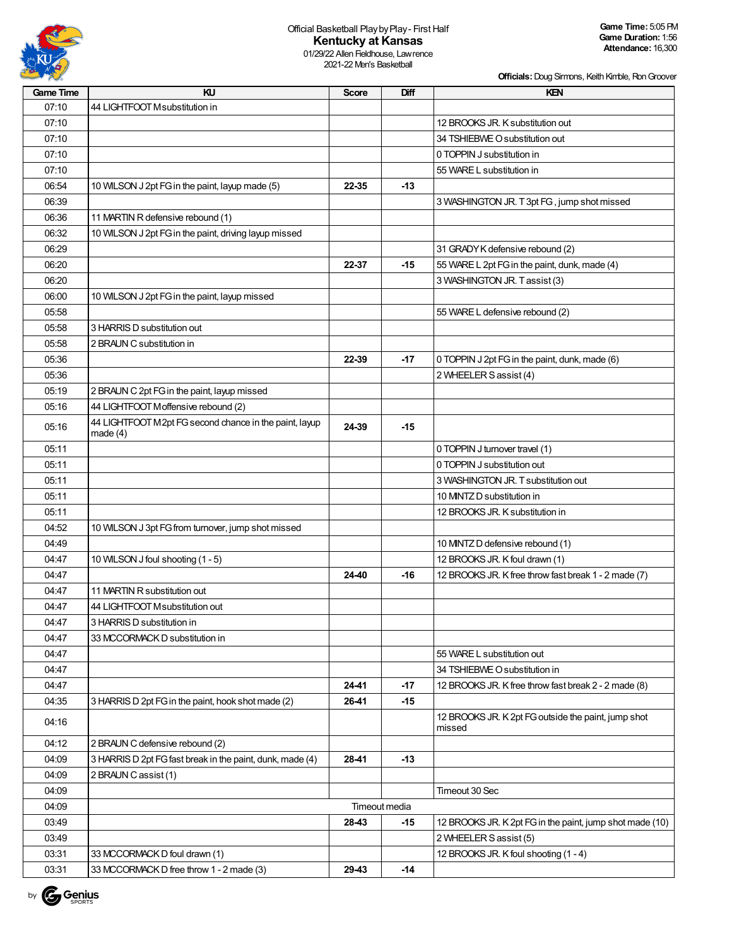

01/29/22 Allen Fieldhouse, Lawrence 2021-22 Men's Basketball

| <b>Game Time</b> | KU                                                                   | <b>Score</b> | Diff          | KEN                                                           |
|------------------|----------------------------------------------------------------------|--------------|---------------|---------------------------------------------------------------|
| 07:10            | 44 LIGHTFOOT Msubstitution in                                        |              |               |                                                               |
| 07:10            |                                                                      |              |               | 12 BROOKS JR. K substitution out                              |
| 07:10            |                                                                      |              |               | 34 TSHIEBWE O substitution out                                |
| 07:10            |                                                                      |              |               | 0 TOPPIN J substitution in                                    |
| 07:10            |                                                                      |              |               | 55 WARE L substitution in                                     |
| 06:54            | 10 WILSON J 2pt FG in the paint, layup made (5)                      | 22-35        | $-13$         |                                                               |
| 06:39            |                                                                      |              |               | 3 WASHINGTON JR. T 3pt FG, jump shot missed                   |
| 06:36            | 11 MARTIN R defensive rebound (1)                                    |              |               |                                                               |
| 06:32            | 10 WILSON J 2pt FG in the paint, driving layup missed                |              |               |                                                               |
| 06:29            |                                                                      |              |               | 31 GRADY K defensive rebound (2)                              |
| 06:20            |                                                                      | 22-37        | $-15$         | 55 WARE L 2pt FG in the paint, dunk, made (4)                 |
| 06:20            |                                                                      |              |               | 3 WASHINGTON JR. Tassist (3)                                  |
| 06:00            | 10 WILSON J 2pt FG in the paint, layup missed                        |              |               |                                                               |
| 05:58            |                                                                      |              |               | 55 WARE L defensive rebound (2)                               |
| 05:58            | 3 HARRIS D substitution out                                          |              |               |                                                               |
| 05:58            | 2 BRAUN C substitution in                                            |              |               |                                                               |
| 05:36            |                                                                      | 22-39        | -17           | 0 TOPPIN J 2pt FG in the paint, dunk, made (6)                |
| 05:36            |                                                                      |              |               | 2 WHEELER S assist (4)                                        |
| 05:19            | 2 BRAUN C 2pt FG in the paint, layup missed                          |              |               |                                                               |
| 05:16            | 44 LIGHTFOOT Moffensive rebound (2)                                  |              |               |                                                               |
| 05:16            | 44 LIGHTFOOT M2pt FG second chance in the paint, layup<br>made $(4)$ | 24-39        | $-15$         |                                                               |
| 05:11            |                                                                      |              |               | 0 TOPPIN J turnover travel (1)                                |
| 05:11            |                                                                      |              |               | 0 TOPPIN J substitution out                                   |
| 05:11            |                                                                      |              |               | 3 WASHINGTON JR. T substitution out                           |
| 05:11            |                                                                      |              |               | 10 MNTZ D substitution in                                     |
| 05:11            |                                                                      |              |               | 12 BROOKS JR. K substitution in                               |
| 04:52            | 10 WILSON J 3pt FG from turnover, jump shot missed                   |              |               |                                                               |
| 04:49            |                                                                      |              |               | 10 MINTZ D defensive rebound (1)                              |
| 04:47            | 10 WILSON J foul shooting (1 - 5)                                    |              |               | 12 BROOKS JR. K foul drawn (1)                                |
| 04:47            |                                                                      | 24-40        | $-16$         | 12 BROOKS JR. K free throw fast break 1 - 2 made (7)          |
| 04:47            | 11 MARTIN R substitution out                                         |              |               |                                                               |
| 04:47            | 44 LIGHTFOOT Msubstitution out                                       |              |               |                                                               |
| 04:47            | 3 HARRIS D substitution in                                           |              |               |                                                               |
| 04:47            | 33 MCCORMACK D substitution in                                       |              |               |                                                               |
| 04:47            |                                                                      |              |               | 55 WARE L substitution out                                    |
| 04:47            |                                                                      |              |               | 34 TSHIEBWE O substitution in                                 |
| 04:47            |                                                                      | 24-41        | $-17$         | 12 BROOKS JR. K free throw fast break 2 - 2 made (8)          |
| 04:35            | 3 HARRIS D 2pt FG in the paint, hook shot made (2)                   | 26-41        | $-15$         |                                                               |
| 04:16            |                                                                      |              |               | 12 BROOKS JR. K 2pt FG outside the paint, jump shot<br>missed |
| 04:12            | 2 BRAUN C defensive rebound (2)                                      |              |               |                                                               |
| 04:09            | 3 HARRIS D 2pt FG fast break in the paint, dunk, made (4)            | 28-41        | $-13$         |                                                               |
| 04:09            | 2 BRAUN C assist (1)                                                 |              |               |                                                               |
| 04:09            |                                                                      |              |               | Timeout 30 Sec                                                |
| 04:09            |                                                                      |              | Timeout media |                                                               |
| 03:49            |                                                                      | 28-43        | $-15$         | 12 BROOKS JR. K 2pt FG in the paint, jump shot made (10)      |
| 03:49            |                                                                      |              |               | 2 WHEELER S assist (5)                                        |
| 03:31            | 33 MCCORMACK D foul drawn (1)                                        |              |               | 12 BROOKS JR. K foul shooting (1 - 4)                         |
| 03:31            | 33 MCCORMACK D free throw 1 - 2 made (3)                             | 29-43        | $-14$         |                                                               |

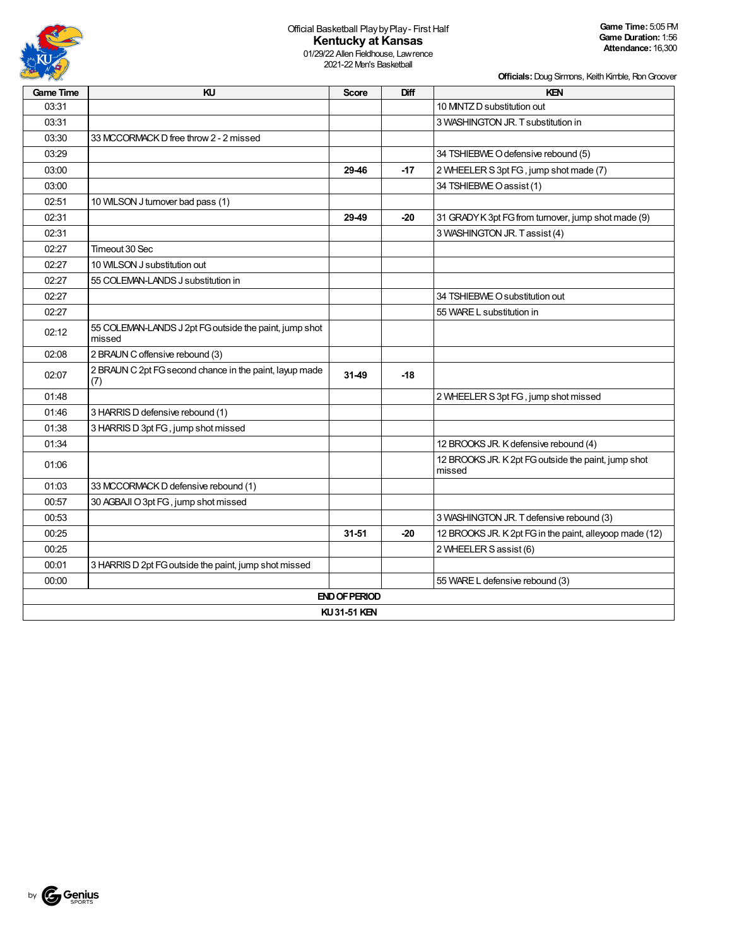

01/29/22 Allen Fieldhouse, Lawrence 2021-22 Men's Basketball

| <b>Game Time</b> | KU                                                               | <b>Score</b>         | Diff  | <b>KEN</b>                                                    |  |  |  |  |  |
|------------------|------------------------------------------------------------------|----------------------|-------|---------------------------------------------------------------|--|--|--|--|--|
| 03:31            |                                                                  |                      |       | 10 MNTZ D substitution out                                    |  |  |  |  |  |
| 03:31            |                                                                  |                      |       | 3 WASHINGTON JR. T substitution in                            |  |  |  |  |  |
| 03:30            | 33 MCCORMACK D free throw 2 - 2 missed                           |                      |       |                                                               |  |  |  |  |  |
| 03:29            |                                                                  |                      |       | 34 TSHIEBWE O defensive rebound (5)                           |  |  |  |  |  |
| 03:00            |                                                                  | 29-46                | $-17$ | 2 WHEELER S 3pt FG, jump shot made (7)                        |  |  |  |  |  |
| 03:00            |                                                                  |                      |       | 34 TSHIEBWE O assist (1)                                      |  |  |  |  |  |
| 02:51            | 10 WILSON J turnover bad pass (1)                                |                      |       |                                                               |  |  |  |  |  |
| 02:31            |                                                                  | 29-49                | -20   | 31 GRADY K 3pt FG from turnover, jump shot made (9)           |  |  |  |  |  |
| 02:31            |                                                                  |                      |       | 3 WASHINGTON JR. Tassist (4)                                  |  |  |  |  |  |
| 02:27            | Timeout 30 Sec                                                   |                      |       |                                                               |  |  |  |  |  |
| 02:27            | 10 WILSON J substitution out                                     |                      |       |                                                               |  |  |  |  |  |
| 02:27            | 55 COLEMAN-LANDS J substitution in                               |                      |       |                                                               |  |  |  |  |  |
| 02:27            |                                                                  |                      |       | 34 TSHIEBWE O substitution out                                |  |  |  |  |  |
| 02:27            |                                                                  |                      |       | 55 WARE L substitution in                                     |  |  |  |  |  |
| 02:12            | 55 COLEMAN-LANDS J 2pt FG outside the paint, jump shot<br>missed |                      |       |                                                               |  |  |  |  |  |
| 02:08            | 2 BRAUN C offensive rebound (3)                                  |                      |       |                                                               |  |  |  |  |  |
| 02:07            | 2 BRAUN C 2pt FG second chance in the paint, layup made<br>(7)   | 31-49                | $-18$ |                                                               |  |  |  |  |  |
| 01:48            |                                                                  |                      |       | 2 WHEELER S 3pt FG, jump shot missed                          |  |  |  |  |  |
| 01:46            | 3 HARRIS D defensive rebound (1)                                 |                      |       |                                                               |  |  |  |  |  |
| 01:38            | 3 HARRIS D 3pt FG, jump shot missed                              |                      |       |                                                               |  |  |  |  |  |
| 01:34            |                                                                  |                      |       | 12 BROOKS JR. K defensive rebound (4)                         |  |  |  |  |  |
| 01:06            |                                                                  |                      |       | 12 BROOKS JR. K 2pt FG outside the paint, jump shot<br>missed |  |  |  |  |  |
| 01:03            | 33 MCCORMACK D defensive rebound (1)                             |                      |       |                                                               |  |  |  |  |  |
| 00:57            | 30 AGBAJI O 3pt FG, jump shot missed                             |                      |       |                                                               |  |  |  |  |  |
| 00:53            |                                                                  |                      |       | 3 WASHINGTON JR. T defensive rebound (3)                      |  |  |  |  |  |
| 00:25            |                                                                  | $31 - 51$            | $-20$ | 12 BROOKS JR. K 2pt FG in the paint, alleyoop made (12)       |  |  |  |  |  |
| 00:25            |                                                                  |                      |       | 2 WHEELER S assist (6)                                        |  |  |  |  |  |
| 00:01            | 3 HARRIS D 2pt FG outside the paint, jump shot missed            |                      |       |                                                               |  |  |  |  |  |
| 00:00            |                                                                  |                      |       | 55 WARE L defensive rebound (3)                               |  |  |  |  |  |
|                  |                                                                  | <b>END OF PERIOD</b> |       |                                                               |  |  |  |  |  |
|                  | <b>KU31-51 KEN</b>                                               |                      |       |                                                               |  |  |  |  |  |

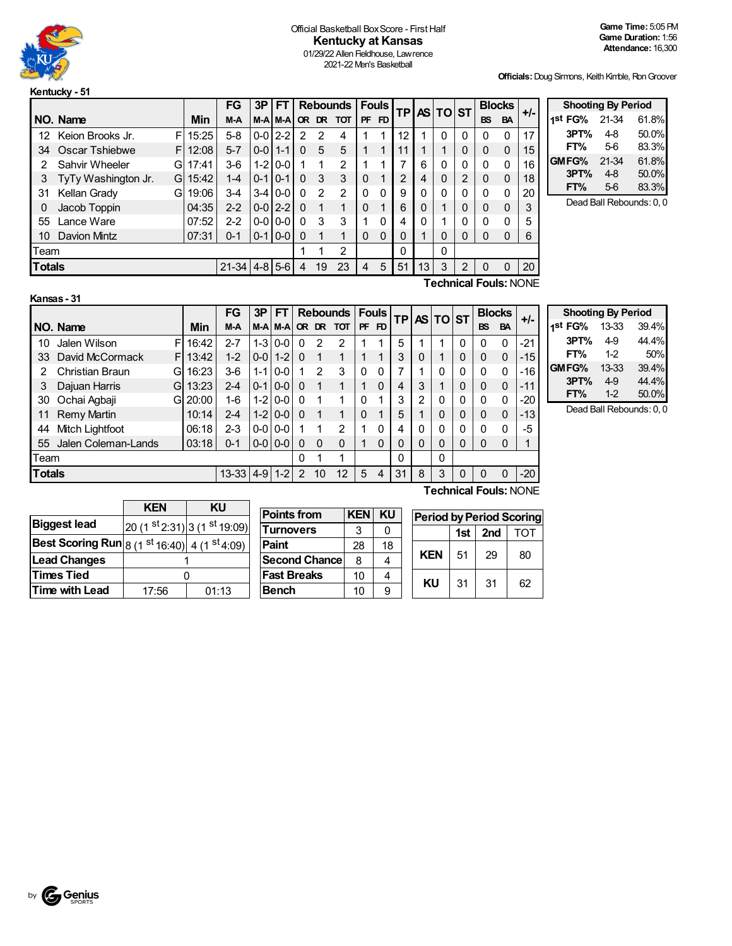

#### Official Basketball Box Score - First Half **Kentucky at Kansas** 01/29/22 Allen Fieldhouse, Lawrence 2021-22 Men's Basketball

**Officials:**Doug Sirmons, Keith Kimble, RonGroover

**Shooting By Period 1 st FG%** 21-34 61.8% **3PT%** 4-8 50.0% **FT%** 5-6 83.3% **GMFG%** 21-34 61.8% **3PT%** 4-8 50.0% **FT%** 5-6 83.3% Dead Ball Rebounds: 0, 0

|    |                                  |     |       | FG      | 3P          | FТ            |               | Rebounds |           | <b>Fouls</b> | <b>TP</b> |    | AS TO ST |              | <b>Blocks</b> |              | $+/-$       |    |
|----|----------------------------------|-----|-------|---------|-------------|---------------|---------------|----------|-----------|--------------|-----------|----|----------|--------------|---------------|--------------|-------------|----|
|    | NO. Name                         |     | Min   | M-A     |             | M-A M-A       |               |          | OR DR TOT | <b>PF</b>    | <b>FD</b> |    |          |              |               | <b>BS</b>    | <b>BA</b>   |    |
| 12 | Keion Brooks Jr.                 | F   | 15:25 | $5 - 8$ | $0 - 0$     | $2 - 2$       | $\mathcal{P}$ | 2        | 4         |              |           | 12 |          | 0            | 0             | $\Omega$     | 0           | 17 |
| 34 | Oscar Tshiebwe                   | FI. | 12:08 | $5 - 7$ | $0 - 0$ 1-1 |               | $\Omega$      | 5        | 5         |              |           | 11 |          |              | 0             | $\Omega$     | $\mathbf 0$ | 15 |
|    | Sahvir Wheeler                   | Gl  | 17:41 | $3-6$   | $1-2$       | $0-0$         |               |          | 2         |              | 4         |    | 6        | 0            | 0             |              | 0           | 16 |
| 3  | TyTy Washington Jr.              | GL  | 15:42 | $1 - 4$ | $0 - 1$     | $0 - 1$       | 0             | 3        | 3         | $\Omega$     | 4         | 2  | 4        | $\mathbf{0}$ | 2             | $\Omega$     | $\mathbf 0$ | 18 |
| 31 | Kellan Grady                     | Gl  | 19:06 | $3 - 4$ | $3 - 4$     | $0-0$         | 0             | 2        | 2         | 0            | $\Omega$  | 9  | 0        | 0            | 0             | $\Omega$     | 0           | 20 |
| 0  | Jacob Toppin                     |     | 04:35 | $2 - 2$ |             | $0 - 012 - 2$ | $\Omega$      |          | 1         | $\Omega$     | 4         | 6  | 0        |              | 0             |              | $\mathbf 0$ | 3  |
| 55 | Lance Ware                       |     | 07:52 | $2 - 2$ | $0 - 0$     | $0-0$         | 0             | 3        | 3         | 1            | $\Omega$  | 4  | 0        |              | 0             | <sup>0</sup> | 0           | 5  |
| 10 | Davion Mintz                     |     | 07:31 | $0 - 1$ | $0 - 1$     | $0 - 0$       | 0             |          | 1         | $\Omega$     | $\Omega$  | 0  |          | 0            | 0             | 0            | 0           | 6  |
|    | Team                             |     |       |         |             |               |               |          | 2         |              |           | 0  |          | 0            |               |              |             |    |
|    | <b>Totals</b><br>$21-34$ 4-8 5-6 |     |       |         |             |               | 4             | 19       | 23        | 4            | 5         | 51 | 13       | 3            | 2             | 0            | 0           | 20 |
|    | <b>Technical Fouls: NONE</b>     |     |       |         |             |               |               |          |           |              |           |    |          |              |               |              |             |    |

|                                         | Kansas - 31         |    |       |         |         |               |          |               |                 |    |              |           |              |          |   |              |               |       |
|-----------------------------------------|---------------------|----|-------|---------|---------|---------------|----------|---------------|-----------------|----|--------------|-----------|--------------|----------|---|--------------|---------------|-------|
|                                         |                     |    |       | FG      | 3P      | FТ            |          |               | <b>Rebounds</b> |    | <b>Fouls</b> | <b>TP</b> |              | AS TO ST |   |              | <b>Blocks</b> | $+/-$ |
|                                         | NO. Name            |    | Min   | M-A     |         | M-A M-A       | OR.      | DR.           | <b>TOT</b>      | PF | FD.          |           |              |          |   | <b>BS</b>    | <b>BA</b>     |       |
| 10                                      | Jalen Wilson        | F  | 16:42 | $2 - 7$ | $1-3$   | $0-0$         | 0        | 2             | 2               |    |              | 5         |              |          | 0 | 0            | $\Omega$      | -21   |
| 33                                      | David McCormack     | FI | 13:42 | $1 - 2$ | $0-0$   | $1-2$         | 0        |               | 1               |    | 4            | 3         | 0            | 1        | 0 | $\mathbf{0}$ | $\mathbf 0$   | $-15$ |
| 2                                       | Christian Braun     | Gl | 16:23 | $3-6$   | $1 - 1$ | $0-0$         | 1        | $\mathcal{P}$ | 3               | 0  | 0            | 7         |              | 0        | 0 | 0            | $\Omega$      | $-16$ |
| 3                                       | Dajuan Harris       | Gl | 13:23 | $2 - 4$ | $0 - 1$ | $ 0-0 $       | $\Omega$ |               | $\mathbf{1}$    |    | 0            | 4         | 3            |          | 0 | $\mathbf{0}$ | $\Omega$      | $-11$ |
| 30                                      | Ochai Agbaji        | G. | 20:00 | $1 - 6$ | $1-2$   | $0-0$         | 0        |               | 1               | U  | 1            | 3         | 2            | 0        | 0 | 0            | $\Omega$      | -20   |
| 11                                      | <b>Remy Martin</b>  |    | 10:14 | $2 - 4$ | $1-2$   | $0-0$         | $\Omega$ | 1             | 1               | 0  | 4            | 5         |              | 0        | 0 | $\mathbf{0}$ | $\Omega$      | -13   |
| 44                                      | Mitch Lightfoot     |    | 06:18 | $2 - 3$ | $0-0$   | $0-0$         |          |               | $\overline{2}$  |    | 0            | 4         | 0            | 0        | 0 | 0            | $\Omega$      | -5    |
| 55                                      | Jalen Coleman-Lands |    | 03:18 | $0 - 1$ |         | $0 - 0 0 - 0$ | $\Omega$ | $\Omega$      | $\Omega$        |    | 0            | 0         | 0            | 0        | 0 | 0            | $\Omega$      |       |
| Team                                    |                     |    |       |         |         | 0             |          | 1             |                 |    | 0            |           | $\mathbf{0}$ |          |   |              |               |       |
| <b>Totals</b><br>$13 - 33$<br>$4-9$ 1-2 |                     |    |       |         | 2       | 10            | 12       | 5             | 4               | 31 | 8            | 3         | 0            | 0        | 0 | $-20$        |               |       |
| <b>Technical Fouls: NONE</b>            |                     |    |       |         |         |               |          |               |                 |    |              |           |              |          |   |              |               |       |

| <b>Shooting By Period</b> |       |       |
|---------------------------|-------|-------|
| 1st FG%                   | 13-33 | 39.4% |
| 3PT%                      | $4-9$ | 44.4% |
| FT%                       | 12    | 50%   |
| GMFG%                     | 13-33 | 39.4% |
| 3PT%                      | $4-9$ | 44.4% |
| FT%                       | $1-2$ | 50.0% |

Dead Ball Rebounds: 0, 0

|                                                                                          | <b>KEN</b> | KU                         |
|------------------------------------------------------------------------------------------|------------|----------------------------|
| <b>Biggest lead</b>                                                                      |            | $20(1st2:31) 3(1st19:09) $ |
| <b>Best Scoring Run</b> $\mid$ 8 (1 <sup>st</sup> 16:40) 4 (1 <sup>st</sup> 4:09) $\mid$ |            |                            |
| <b>Lead Changes</b>                                                                      |            |                            |
| <b>Times Tied</b>                                                                        |            |                            |
| <b>Time with Lead</b>                                                                    | 17:56      | 01:13                      |

 $\mathbf{r}$ 

| <b>Points from</b>   | <b>KEN</b> | KU |
|----------------------|------------|----|
| <b>Turnovers</b>     | 3          | ი  |
| Paint                | 28         | 18 |
| <b>Second Chance</b> | 8          |    |
| <b>Fast Breaks</b>   | 10         |    |
| Bench                | 10         | q  |

| <b>Period by Period Scoring</b> |     |     |     |  |  |  |  |  |  |  |  |  |
|---------------------------------|-----|-----|-----|--|--|--|--|--|--|--|--|--|
|                                 | 1st | 2nd | TOT |  |  |  |  |  |  |  |  |  |
| KFN                             | 51  | 29  | 80  |  |  |  |  |  |  |  |  |  |
| ΚU                              | 31  | 31  | 62  |  |  |  |  |  |  |  |  |  |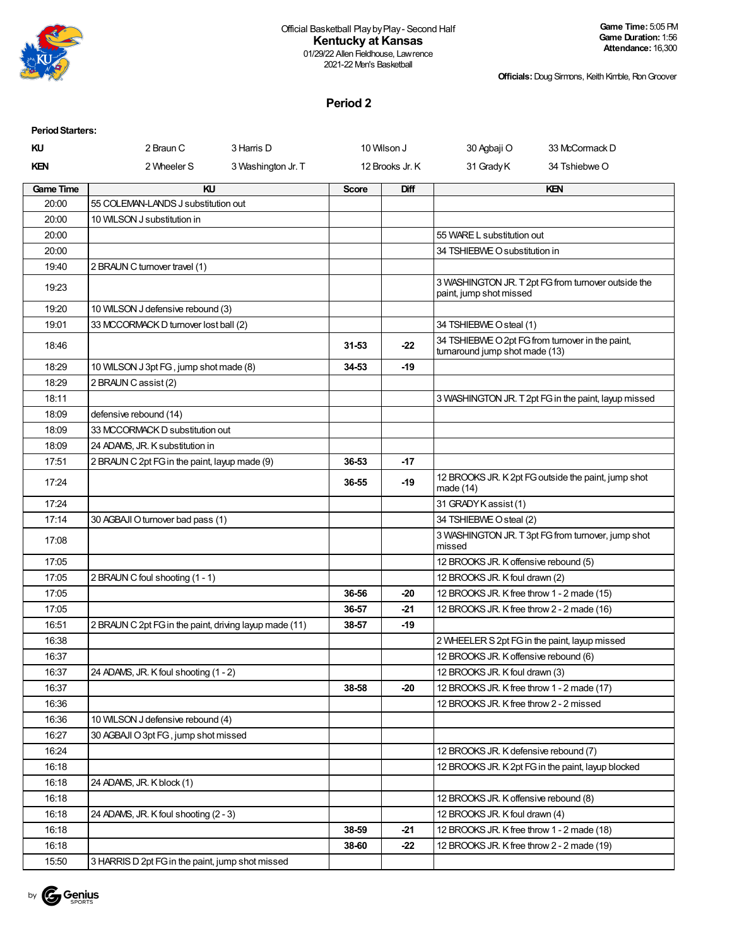

#### Official Basketball PlaybyPlay- Second Half **Kentucky at Kansas** 01/29/22 Allen Fieldhouse, Lawrence

2021-22 Men's Basketball

**Officials:**Doug Sirmons, Keith Kimble, RonGroover

### **Period 2**

| <b>Period Starters:</b> |                                                        |                    |              |                 |                                            |                                                      |
|-------------------------|--------------------------------------------------------|--------------------|--------------|-----------------|--------------------------------------------|------------------------------------------------------|
| ΚU                      | 2 Braun C                                              | 3 Harris D         |              | 10 Wilson J     | 30 Agbaji O                                | 33 McCormack D                                       |
| <b>KEN</b>              | 2 Wheeler S                                            | 3 Washington Jr. T |              | 12 Brooks Jr. K | 31 Grady K                                 | 34 Tshiebwe O                                        |
| <b>Game Time</b>        | KU                                                     |                    | <b>Score</b> | Diff            |                                            | KEN                                                  |
| 20:00                   | 55 COLEMAN-LANDS J substitution out                    |                    |              |                 |                                            |                                                      |
| 20:00                   | 10 WILSON J substitution in                            |                    |              |                 |                                            |                                                      |
| 20:00                   |                                                        |                    |              |                 | 55 WARE L substitution out                 |                                                      |
| 20:00                   |                                                        |                    |              |                 | 34 TSHIEBWE O substitution in              |                                                      |
| 19:40                   | 2 BRAUN C turnover travel (1)                          |                    |              |                 |                                            |                                                      |
| 19:23                   |                                                        |                    |              |                 | paint, jump shot missed                    | 3 WASHINGTON JR. T 2pt FG from turnover outside the  |
| 19:20                   | 10 WILSON J defensive rebound (3)                      |                    |              |                 |                                            |                                                      |
| 19:01                   | 33 MCCORMACK D turnover lost ball (2)                  |                    |              |                 | 34 TSHIEBWE O steal (1)                    |                                                      |
| 18:46                   |                                                        |                    | 31-53        | $-22$           | turnaround jump shot made (13)             | 34 TSHIEBWE O 2pt FG from turnover in the paint,     |
| 18:29                   | 10 WILSON J 3pt FG, jump shot made (8)                 |                    | 34-53        | $-19$           |                                            |                                                      |
| 18:29                   | 2 BRAUN C assist (2)                                   |                    |              |                 |                                            |                                                      |
| 18:11                   |                                                        |                    |              |                 |                                            | 3 WASHINGTON JR. T 2pt FG in the paint, layup missed |
| 18:09                   | defensive rebound (14)                                 |                    |              |                 |                                            |                                                      |
| 18:09                   | 33 MCCORMACK D substitution out                        |                    |              |                 |                                            |                                                      |
| 18:09                   | 24 ADAMS, JR. K substitution in                        |                    |              |                 |                                            |                                                      |
| 17:51                   | 2 BRAUN C 2pt FG in the paint, layup made (9)          |                    | 36-53        | $-17$           |                                            |                                                      |
| 17:24                   |                                                        |                    | 36-55        | -19             | made $(14)$                                | 12 BROOKS JR. K 2pt FG outside the paint, jump shot  |
| 17:24                   |                                                        |                    |              |                 | 31 GRADY K assist (1)                      |                                                      |
| 17:14                   | 30 AGBAJI O turnover bad pass (1)                      |                    |              |                 | 34 TSHIEBWE O steal (2)                    |                                                      |
| 17:08                   |                                                        |                    |              |                 | missed                                     | 3 WASHINGTON JR. T 3pt FG from turnover, jump shot   |
| 17:05                   |                                                        |                    |              |                 | 12 BROOKS JR. K offensive rebound (5)      |                                                      |
| 17:05                   | 2 BRAUN C foul shooting (1 - 1)                        |                    |              |                 | 12 BROOKS JR. K foul drawn (2)             |                                                      |
| 17:05                   |                                                        |                    | 36-56        | -20             | 12 BROOKS JR. K free throw 1 - 2 made (15) |                                                      |
| 17:05                   |                                                        |                    | 36-57        | $-21$           | 12 BROOKS JR. K free throw 2 - 2 made (16) |                                                      |
| 16:51                   | 2 BRAUN C 2pt FG in the paint, driving layup made (11) |                    | 38-57        | $-19$           |                                            |                                                      |
| 16:38                   |                                                        |                    |              |                 |                                            | 2 WHEELER S 2pt FG in the paint, layup missed        |
| 16:37                   |                                                        |                    |              |                 | 12 BROOKS JR. K offensive rebound (6)      |                                                      |
| 16:37                   | 24 ADAMS, JR. K foul shooting (1 - 2)                  |                    |              |                 | 12 BROOKS JR. K foul drawn (3)             |                                                      |
| 16:37                   |                                                        |                    | 38-58        | $-20$           | 12 BROOKS JR. K free throw 1 - 2 made (17) |                                                      |
| 16:36                   |                                                        |                    |              |                 | 12 BROOKS JR. K free throw 2 - 2 missed    |                                                      |
| 16:36                   | 10 WILSON J defensive rebound (4)                      |                    |              |                 |                                            |                                                      |
| 16:27                   | 30 AGBAJI O 3pt FG, jump shot missed                   |                    |              |                 |                                            |                                                      |
| 16:24                   |                                                        |                    |              |                 | 12 BROOKS JR. K defensive rebound (7)      |                                                      |
| 16:18                   |                                                        |                    |              |                 |                                            | 12 BROOKS JR. K 2pt FG in the paint, layup blocked   |
| 16:18                   | 24 ADAMS, JR. K block (1)                              |                    |              |                 |                                            |                                                      |
| 16:18                   |                                                        |                    |              |                 | 12 BROOKS JR. K offensive rebound (8)      |                                                      |
| 16:18                   | 24 ADAMS, JR. K foul shooting (2 - 3)                  |                    |              |                 | 12 BROOKS JR. K foul drawn (4)             |                                                      |
| 16:18                   |                                                        |                    | 38-59        | $-21$           | 12 BROOKS JR. K free throw 1 - 2 made (18) |                                                      |
| 16:18                   |                                                        |                    | 38-60        | $-22$           | 12 BROOKS JR. K free throw 2 - 2 made (19) |                                                      |
| 15:50                   | 3 HARRIS D 2pt FG in the paint, jump shot missed       |                    |              |                 |                                            |                                                      |

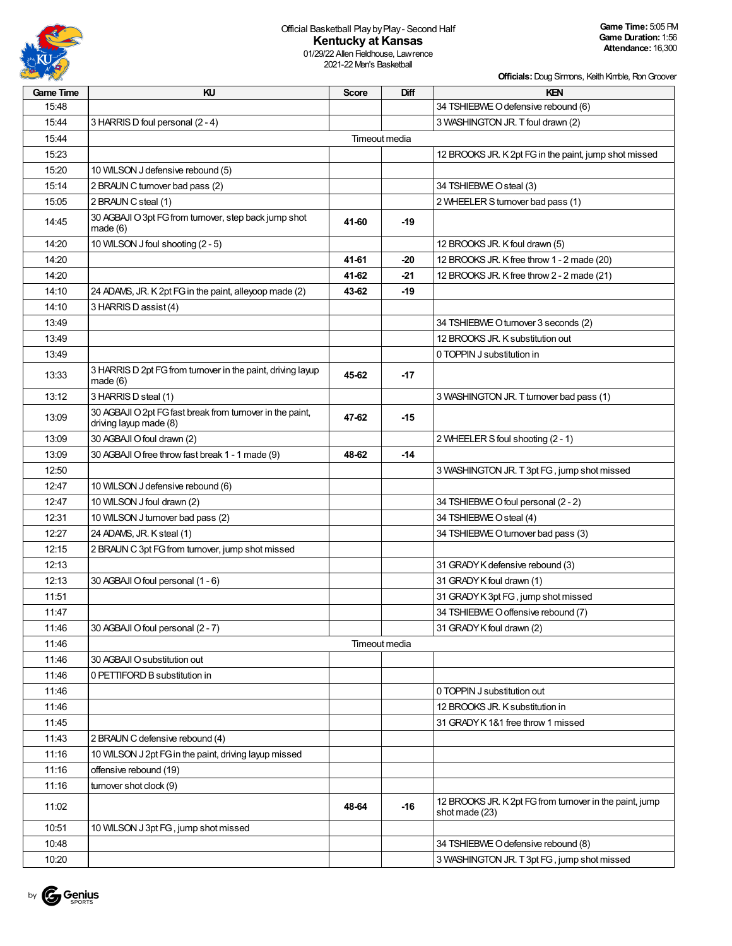

#### Official Basketball PlaybyPlay- Second Half **Kentucky at Kansas** 01/29/22 Allen Fieldhouse, Lawrence

2021-22 Men's Basketball

**Officials:**Doug Sirmons, Keith Kimble, RonGroover

| Game Time | KU                                                                                  | <b>Score</b> | Diff          | KEN                                                                       |
|-----------|-------------------------------------------------------------------------------------|--------------|---------------|---------------------------------------------------------------------------|
| 15:48     |                                                                                     |              |               | 34 TSHIEBWE O defensive rebound (6)                                       |
| 15:44     | 3 HARRIS D foul personal (2 - 4)                                                    |              |               | 3 WASHINGTON JR. T foul drawn (2)                                         |
| 15:44     |                                                                                     |              | Timeout media |                                                                           |
| 15:23     |                                                                                     |              |               | 12 BROOKS JR. K 2pt FG in the paint, jump shot missed                     |
| 15:20     | 10 WILSON J defensive rebound (5)                                                   |              |               |                                                                           |
| 15:14     | 2 BRAUN C turnover bad pass (2)                                                     |              |               | 34 TSHIEBWE O steal (3)                                                   |
| 15:05     | 2 BRAUN C steal (1)                                                                 |              |               | 2 WHEELER S turnover bad pass (1)                                         |
| 14:45     | 30 AGBAJI O 3pt FG from turnover, step back jump shot<br>made(6)                    | 41-60        | $-19$         |                                                                           |
| 14:20     | 10 WILSON J foul shooting (2 - 5)                                                   |              |               | 12 BROOKS JR. K foul drawn (5)                                            |
| 14:20     |                                                                                     | 41-61        | -20           | 12 BROOKS JR. K free throw 1 - 2 made (20)                                |
| 14:20     |                                                                                     | 41-62        | -21           | 12 BROOKS JR. K free throw 2 - 2 made (21)                                |
| 14:10     | 24 ADAMS, JR. K 2pt FG in the paint, alleyoop made (2)                              | 43-62        | -19           |                                                                           |
| 14:10     | 3 HARRIS D assist (4)                                                               |              |               |                                                                           |
| 13:49     |                                                                                     |              |               | 34 TSHIEBWE O turnover 3 seconds (2)                                      |
| 13:49     |                                                                                     |              |               | 12 BROOKS JR. K substitution out                                          |
| 13:49     |                                                                                     |              |               | 0 TOPPIN J substitution in                                                |
| 13:33     | 3 HARRIS D 2pt FG from turnover in the paint, driving layup<br>made $(6)$           | 45-62        | $-17$         |                                                                           |
| 13:12     | 3 HARRIS D steal (1)                                                                |              |               | 3 WASHINGTON JR. T turnover bad pass (1)                                  |
| 13:09     | 30 AGBAJI O 2pt FG fast break from turnover in the paint,<br>driving layup made (8) | 47-62        | $-15$         |                                                                           |
| 13:09     | 30 AGBAJI O foul drawn (2)                                                          |              |               | 2 WHEELER S foul shooting (2 - 1)                                         |
| 13:09     | 30 AGBAJI O free throw fast break 1 - 1 made (9)                                    | 48-62        | $-14$         |                                                                           |
| 12:50     |                                                                                     |              |               | 3 WASHINGTON JR. T 3pt FG, jump shot missed                               |
| 12:47     | 10 WILSON J defensive rebound (6)                                                   |              |               |                                                                           |
| 12:47     | 10 WILSON J foul drawn (2)                                                          |              |               | 34 TSHIEBWE O foul personal (2 - 2)                                       |
| 12:31     | 10 WILSON J turnover bad pass (2)                                                   |              |               | 34 TSHIEBWE O steal (4)                                                   |
| 12:27     | 24 ADAMS, JR. K steal (1)                                                           |              |               | 34 TSHIEBWE O turnover bad pass (3)                                       |
| 12:15     | 2 BRAUN C 3pt FG from turnover, jump shot missed                                    |              |               |                                                                           |
| 12:13     |                                                                                     |              |               | 31 GRADY K defensive rebound (3)                                          |
| 12:13     | 30 AGBAJI O foul personal (1 - 6)                                                   |              |               | 31 GRADY K foul drawn (1)                                                 |
| 11:51     |                                                                                     |              |               | 31 GRADY K 3pt FG, jump shot missed                                       |
| 11:47     |                                                                                     |              |               | 34 TSHIEBWE O offensive rebound (7)                                       |
| 11:46     | 30 AGBAJI O foul personal (2 - 7)                                                   |              |               | 31 GRADY K foul drawn (2)                                                 |
| 11:46     |                                                                                     |              | Timeout media |                                                                           |
| 11:46     | 30 AGBAJI O substitution out                                                        |              |               |                                                                           |
| 11:46     | 0 PETTIFORD B substitution in                                                       |              |               |                                                                           |
| 11:46     |                                                                                     |              |               | 0 TOPPIN J substitution out                                               |
| 11:46     |                                                                                     |              |               | 12 BROOKS JR. K substitution in                                           |
| 11:45     |                                                                                     |              |               | 31 GRADY K 1&1 free throw 1 missed                                        |
| 11:43     | 2 BRAUN C defensive rebound (4)                                                     |              |               |                                                                           |
| 11:16     | 10 WILSON J 2pt FG in the paint, driving layup missed                               |              |               |                                                                           |
| 11:16     | offensive rebound (19)                                                              |              |               |                                                                           |
| 11:16     | turnover shot clock (9)                                                             |              |               |                                                                           |
| 11:02     |                                                                                     | 48-64        | $-16$         | 12 BROOKS JR. K 2pt FG from turnover in the paint, jump<br>shot made (23) |
| 10:51     | 10 WILSON J 3pt FG, jump shot missed                                                |              |               |                                                                           |
| 10:48     |                                                                                     |              |               | 34 TSHIEBWE O defensive rebound (8)                                       |
| 10:20     |                                                                                     |              |               | 3 WASHINGTON JR. T 3pt FG, jump shot missed                               |

by Genius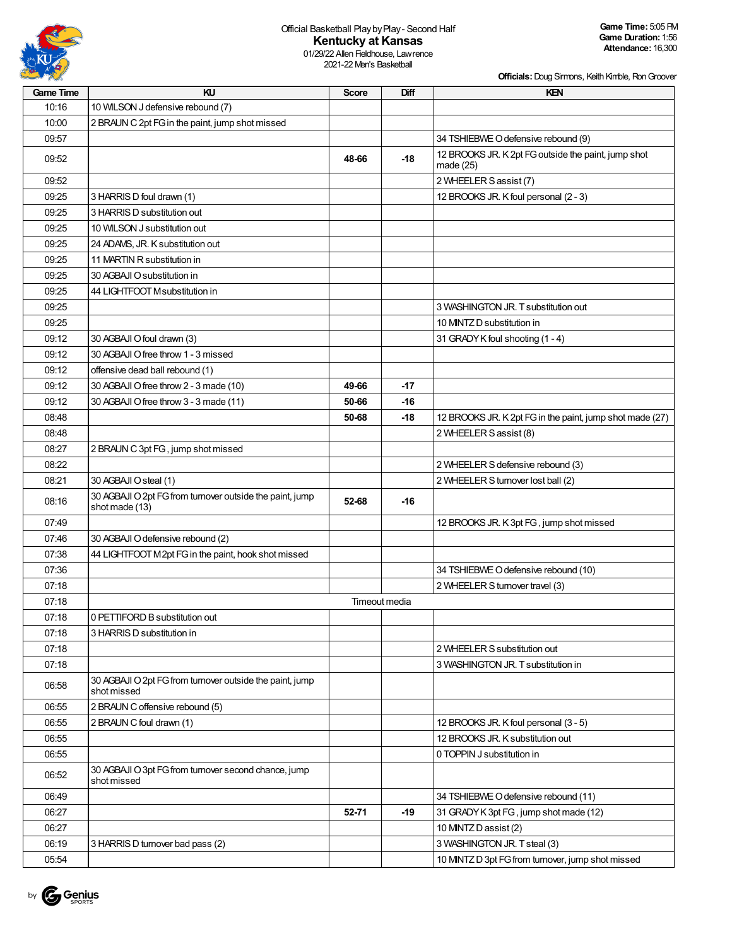

**Game Time:** 5:05 PM **Game Duration:** 1:56 **Attendance:** 16,300

01/29/22 Allen Fieldhouse, Lawrence 2021-22 Men's Basketball

| <b>Game Time</b> | KU                                                                         | Score | Diff          | KEN                                                              |
|------------------|----------------------------------------------------------------------------|-------|---------------|------------------------------------------------------------------|
| 10:16            | 10 WILSON J defensive rebound (7)                                          |       |               |                                                                  |
| 10:00            | 2 BRAUN C 2pt FG in the paint, jump shot missed                            |       |               |                                                                  |
| 09:57            |                                                                            |       |               | 34 TSHIEBWE O defensive rebound (9)                              |
| 09:52            |                                                                            | 48-66 | -18           | 12 BROOKS JR. K 2pt FG outside the paint, jump shot<br>made (25) |
| 09:52            |                                                                            |       |               | 2 WHEELER S assist (7)                                           |
| 09:25            | 3 HARRIS D foul drawn (1)                                                  |       |               | 12 BROOKS JR. K foul personal (2 - 3)                            |
| 09:25            | 3 HARRIS D substitution out                                                |       |               |                                                                  |
| 09:25            | 10 WILSON J substitution out                                               |       |               |                                                                  |
| 09:25            | 24 ADAMS, JR. K substitution out                                           |       |               |                                                                  |
| 09:25            | 11 MARTIN R substitution in                                                |       |               |                                                                  |
| 09:25            | 30 AGBAJI O substitution in                                                |       |               |                                                                  |
| 09:25            | 44 LIGHTFOOT Msubstitution in                                              |       |               |                                                                  |
| 09:25            |                                                                            |       |               | 3 WASHINGTON JR. T substitution out                              |
| 09:25            |                                                                            |       |               | 10 MINTZ D substitution in                                       |
| 09:12            | 30 AGBAJI O foul drawn (3)                                                 |       |               | 31 GRADY K foul shooting (1 - 4)                                 |
| 09:12            | 30 AGBAJI O free throw 1 - 3 missed                                        |       |               |                                                                  |
| 09:12            | offensive dead ball rebound (1)                                            |       |               |                                                                  |
| 09:12            | 30 AGBAJI O free throw 2 - 3 made (10)                                     | 49-66 | $-17$         |                                                                  |
| 09:12            | 30 AGBAJI O free throw 3 - 3 made (11)                                     | 50-66 | -16           |                                                                  |
| 08:48            |                                                                            | 50-68 | -18           | 12 BROOKS JR. K 2pt FG in the paint, jump shot made (27)         |
| 08:48            |                                                                            |       |               | 2 WHEELER S assist (8)                                           |
| 08:27            | 2 BRAUN C 3pt FG, jump shot missed                                         |       |               |                                                                  |
| 08:22            |                                                                            |       |               | 2 WHEELER S defensive rebound (3)                                |
| 08:21            | 30 AGBAJI O steal (1)                                                      |       |               | 2 WHEELER S turnover lost ball (2)                               |
| 08:16            | 30 AGBAJI O 2pt FG from turnover outside the paint, jump<br>shot made (13) | 52-68 | -16           |                                                                  |
| 07:49            |                                                                            |       |               | 12 BROOKS JR. K 3pt FG, jump shot missed                         |
| 07:46            | 30 AGBAJI O defensive rebound (2)                                          |       |               |                                                                  |
| 07:38            | 44 LIGHTFOOT M2pt FG in the paint, hook shot missed                        |       |               |                                                                  |
| 07:36            |                                                                            |       |               | 34 TSHIEBWE O defensive rebound (10)                             |
| 07:18            |                                                                            |       |               | 2 WHEELER S turnover travel (3)                                  |
| 07:18            |                                                                            |       | Timeout media |                                                                  |
| 07:18            | 0 PETTIFORD B substitution out                                             |       |               |                                                                  |
| 07:18            | 3 HARRIS D substitution in                                                 |       |               |                                                                  |
| 07:18            |                                                                            |       |               | 2 WHEELER S substitution out                                     |
| 07:18            |                                                                            |       |               | 3 WASHINGTON JR. T substitution in                               |
| 06:58            | 30 AGBAJI O 2pt FG from turnover outside the paint, jump<br>shot missed    |       |               |                                                                  |
| 06:55            | 2 BRAUN C offensive rebound (5)                                            |       |               |                                                                  |
| 06:55            | 2 BRAUN C foul drawn (1)                                                   |       |               | 12 BROOKS JR. K foul personal (3 - 5)                            |
| 06:55            |                                                                            |       |               | 12 BROOKS JR. K substitution out                                 |
| 06:55            |                                                                            |       |               | 0 TOPPIN J substitution in                                       |
| 06:52            | 30 AGBAJI O 3pt FG from turnover second chance, jump<br>shot missed        |       |               |                                                                  |
| 06:49            |                                                                            |       |               | 34 TSHIEBWE O defensive rebound (11)                             |
| 06:27            |                                                                            | 52-71 | $-19$         | 31 GRADY K 3pt FG, jump shot made (12)                           |
| 06:27            |                                                                            |       |               | 10 MNTZ D assist (2)                                             |
| 06:19            | 3 HARRIS D turnover bad pass (2)                                           |       |               | 3 WASHINGTON JR. T steal (3)                                     |
| 05:54            |                                                                            |       |               | 10 MINTZ D 3pt FG from turnover, jump shot missed                |

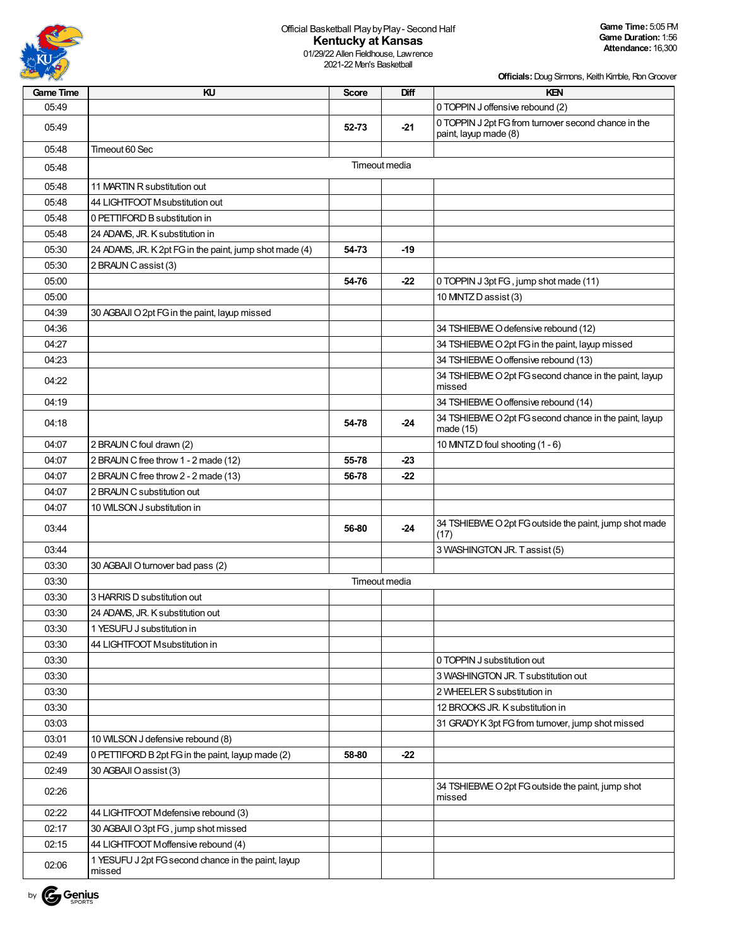

01/29/22 Allen Fieldhouse, Lawrence 2021-22 Men's Basketball

| <b>Game Time</b> | KU                                                            | <b>Score</b>  | Diff          | <b>KEN</b>                                                                    |
|------------------|---------------------------------------------------------------|---------------|---------------|-------------------------------------------------------------------------------|
| 05.49            |                                                               |               |               | 0 TOPPIN J offensive rebound (2)                                              |
| 05:49            |                                                               | 52-73         | $-21$         | 0 TOPPIN J 2pt FG from turnover second chance in the<br>paint, layup made (8) |
| 05:48            | Timeout 60 Sec                                                |               |               |                                                                               |
| 05:48            |                                                               |               | Timeout media |                                                                               |
| 05:48            | 11 MARTIN R substitution out                                  |               |               |                                                                               |
| 05:48            | 44 LIGHTFOOT Msubstitution out                                |               |               |                                                                               |
| 05:48            | 0 PETTIFORD B substitution in                                 |               |               |                                                                               |
| 05.48            | 24 ADAMS, JR. K substitution in                               |               |               |                                                                               |
| 05:30            | 24 ADAMS, JR. K 2pt FG in the paint, jump shot made (4)       | 54-73         | -19           |                                                                               |
| 05:30            | 2 BRAUN C assist (3)                                          |               |               |                                                                               |
| 05:00            |                                                               | 54 76         | $-22$         | 0 TOPPIN J 3pt FG, jump shot made (11)                                        |
| 05:00            |                                                               |               |               | 10 MNTZ D assist (3)                                                          |
| 04:39            | 30 AGBAJI O 2pt FG in the paint, layup missed                 |               |               |                                                                               |
| 04:36            |                                                               |               |               | 34 TSHIEBWE O defensive rebound (12)                                          |
| 04:27            |                                                               |               |               | 34 TSHIEBWE O 2pt FG in the paint, layup missed                               |
| 04:23            |                                                               |               |               | 34 TSHIEBWE O offensive rebound (13)                                          |
| 04:22            |                                                               |               |               | 34 TSHIEBWE O 2pt FG second chance in the paint, layup<br>missed              |
| 04:19            |                                                               |               |               | 34 TSHIEBWE O offensive rebound (14)                                          |
| 04:18            |                                                               | 54-78         | $-24$         | 34 TSHIEBWE O 2pt FG second chance in the paint, layup<br>made (15)           |
| 04:07            | 2 BRAUN C foul drawn (2)                                      |               |               | 10 MNTZ D foul shooting (1 - 6)                                               |
| 04:07            | 2 BRAUN C free throw 1 - 2 made (12)                          | 55-78         | -23           |                                                                               |
| 04:07            | 2 BRAUN C free throw 2 - 2 made (13)                          | 56-78         | -22           |                                                                               |
| 04:07            | 2 BRAUN C substitution out                                    |               |               |                                                                               |
| 04:07            | 10 WILSON J substitution in                                   |               |               |                                                                               |
| 03:44            |                                                               | 56-80         | $-24$         | 34 TSHIEBWE O 2pt FG outside the paint, jump shot made<br>(17)                |
| 03:44            |                                                               |               |               | 3 WASHINGTON JR. Tassist (5)                                                  |
| 03:30            | 30 AGBAJI O turnover bad pass (2)                             |               |               |                                                                               |
| 03:30            |                                                               | Timeout media |               |                                                                               |
| 03:30            | 3 HARRIS D substitution out                                   |               |               |                                                                               |
| 03:30            | 24 ADAMS, JR. K substitution out                              |               |               |                                                                               |
| 03:30            | 1 YESUFU J substitution in                                    |               |               |                                                                               |
| 03:30            | 44 LIGHTFOOT Msubstitution in                                 |               |               |                                                                               |
| 03:30            |                                                               |               |               | 0 TOPPIN J substitution out                                                   |
| 03:30            |                                                               |               |               | 3 WASHINGTON JR. T substitution out                                           |
| 03:30            |                                                               |               |               | 2 WHEELER S substitution in                                                   |
| 03:30            |                                                               |               |               | 12 BROOKS JR. K substitution in                                               |
| 03:03            |                                                               |               |               | 31 GRADY K 3pt FG from turnover, jump shot missed                             |
| 03:01            | 10 WILSON J defensive rebound (8)                             |               |               |                                                                               |
| 02:49            | 0 PETTIFORD B 2pt FG in the paint, layup made (2)             | 58-80         | $-22$         |                                                                               |
| 02:49            | 30 AGBAJI O assist (3)                                        |               |               |                                                                               |
| 02:26            |                                                               |               |               | 34 TSHIEBWE O 2pt FG outside the paint, jump shot<br>missed                   |
| 02:22            | 44 LIGHTFOOT Mdefensive rebound (3)                           |               |               |                                                                               |
| 02:17            | 30 AGBAJI O 3pt FG, jump shot missed                          |               |               |                                                                               |
| 02:15            | 44 LIGHTFOOT Moffensive rebound (4)                           |               |               |                                                                               |
| 02:06            | 1 YESUFU J 2pt FG second chance in the paint, layup<br>missed |               |               |                                                                               |

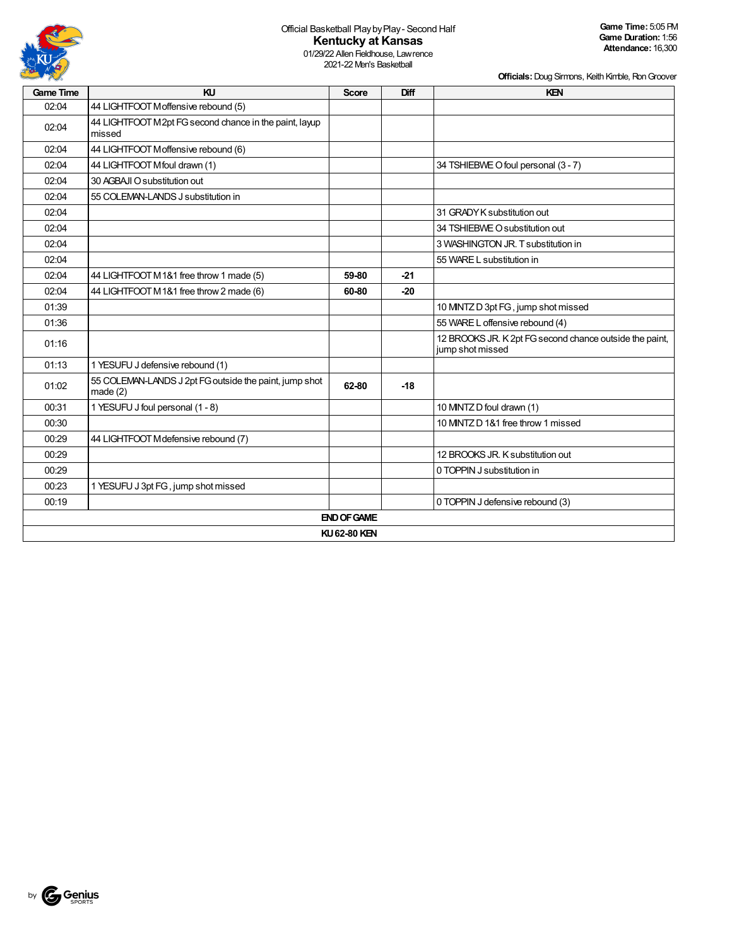

01/29/22 Allen Fieldhouse, Lawrence 2021-22 Men's Basketball

| <b>Game Time</b> | KU                                                                | <b>Score</b>       | Diff  | <b>KEN</b>                                                                  |
|------------------|-------------------------------------------------------------------|--------------------|-------|-----------------------------------------------------------------------------|
| 02:04            | 44 LIGHTFOOT Moffensive rebound (5)                               |                    |       |                                                                             |
| 02:04            | 44 LIGHTFOOT M2pt FG second chance in the paint, layup<br>missed  |                    |       |                                                                             |
| 02:04            | 44 LIGHTFOOT Moffensive rebound (6)                               |                    |       |                                                                             |
| 02:04            | 44 LIGHTFOOT Mfoul drawn (1)                                      |                    |       | 34 TSHIEBWE O foul personal (3 - 7)                                         |
| 02:04            | 30 AGBAJI O substitution out                                      |                    |       |                                                                             |
| 02:04            | 55 COLEMAN-LANDS J substitution in                                |                    |       |                                                                             |
| 02:04            |                                                                   |                    |       | 31 GRADY K substitution out                                                 |
| 02:04            |                                                                   |                    |       | 34 TSHIEBWE O substitution out                                              |
| 02:04            |                                                                   |                    |       | 3 WASHINGTON JR. T substitution in                                          |
| 02:04            |                                                                   |                    |       | 55 WARE L substitution in                                                   |
| 02:04            | 44 LIGHTFOOT M1&1 free throw 1 made (5)                           | 59-80              | $-21$ |                                                                             |
| 02:04            | 44 LIGHTFOOT M1&1 free throw 2 made (6)                           | 60-80              | $-20$ |                                                                             |
| 01:39            |                                                                   |                    |       | 10 MNTZ D 3pt FG, jump shot missed                                          |
| 01:36            |                                                                   |                    |       | 55 WARE L offensive rebound (4)                                             |
| 01:16            |                                                                   |                    |       | 12 BROOKS JR. K 2pt FG second chance outside the paint,<br>jump shot missed |
| 01:13            | 1 YESUFU J defensive rebound (1)                                  |                    |       |                                                                             |
| 01:02            | 55 COLEMAN-LANDS J 2pt FG outside the paint, jump shot<br>made(2) | 62-80              | $-18$ |                                                                             |
| 00:31            | 1 YESUFU J foul personal (1 - 8)                                  |                    |       | 10 MNTZ D foul drawn (1)                                                    |
| 00:30            |                                                                   |                    |       | 10 MNTZ D 1&1 free throw 1 missed                                           |
| 00:29            | 44 LIGHTFOOT Mdefensive rebound (7)                               |                    |       |                                                                             |
| 00:29            |                                                                   |                    |       | 12 BROOKS JR. K substitution out                                            |
| 00:29            |                                                                   |                    |       | 0 TOPPIN J substitution in                                                  |
| 00:23            | 1 YESUFU J 3pt FG, jump shot missed                               |                    |       |                                                                             |
| 00:19            |                                                                   |                    |       | 0 TOPPIN J defensive rebound (3)                                            |
|                  |                                                                   | <b>END OF GAME</b> |       |                                                                             |
|                  |                                                                   | KU 62-80 KEN       |       |                                                                             |